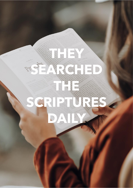# **THEY CONSULTED AND INTERNATIONAL PROPERTY AND INTERNATIONAL PROPERTY AND INTERNATIONAL PROPERTY AND INTERNATIONAL PROPERTY AND INTERNATIONAL PROPERTY AND INTERNATIONAL PROPERTY AND INTERNATIONAL PROPERTY AND INTERNATIONAL SEARCHED AND CONTRACTOR THE REAL PROPERTY AND SCIENCE AND SCIENCE AND SCIENCE AND SCIENCE AND SCIENCE AND SCIENCE AND SCIENCE AND SCIENCE AND SCIENCE AND SCIENCE AND SCIENCE AND SCIENCE AND SCIENCE AND SCIENCE AND SCIENCE AND SCIENCE AND SCIENCE** SCRIPTURES SERVICE **DAILY**